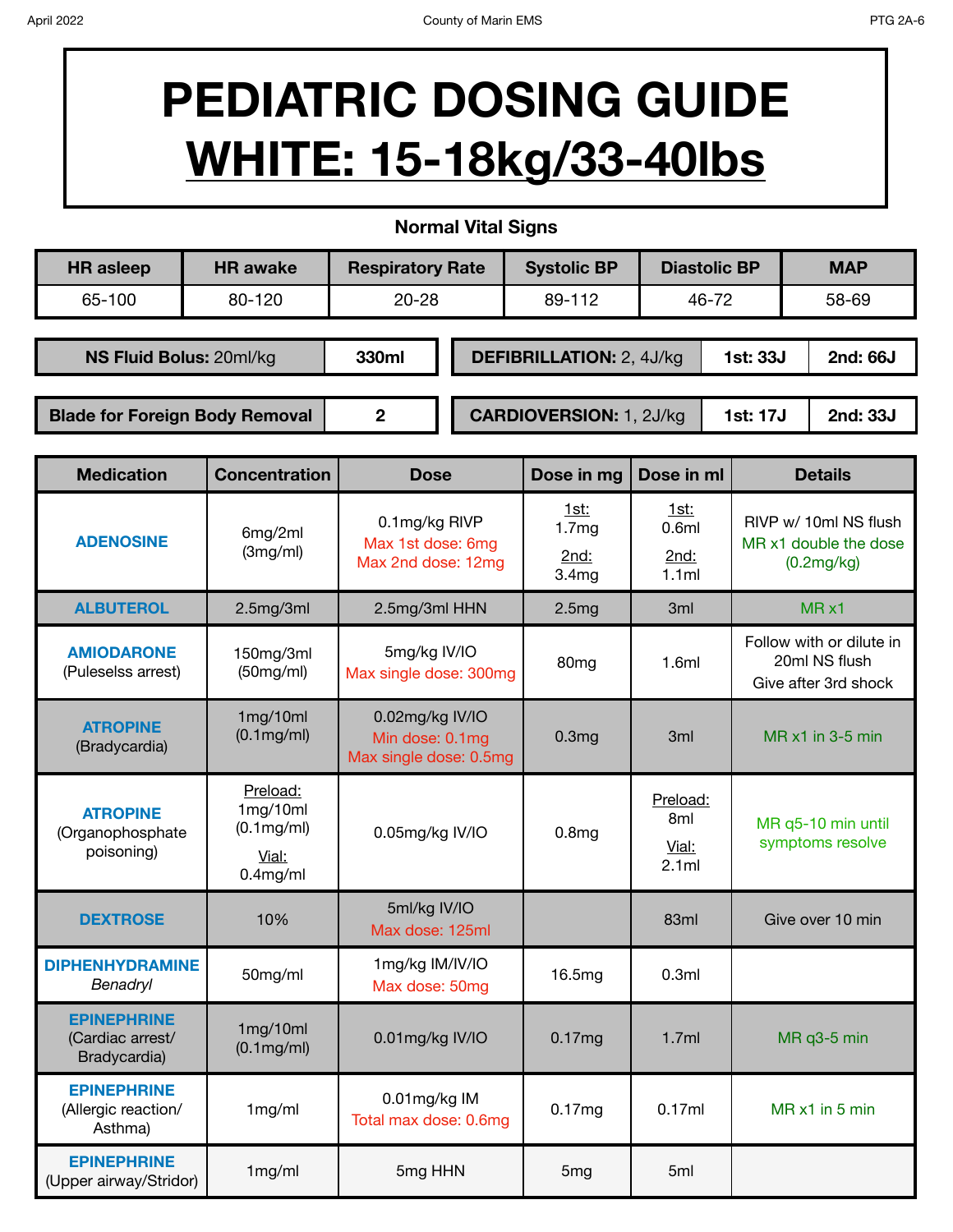## **PEDIATRIC DOSING GUIDE WHITE: 15-18kg/33-40lbs**

**Normal Vital Signs**

| <b>HR</b> asleep                      | <b>HR</b> awake | <b>Respiratory Rate</b> |                                | <b>Systolic BP</b>              |       | <b>Diastolic BP</b> | <b>MAP</b>                  |
|---------------------------------------|-----------------|-------------------------|--------------------------------|---------------------------------|-------|---------------------|-----------------------------|
| 65-100                                | 80-120          | $20 - 28$               |                                | 89-112                          | 46-72 |                     | 58-69                       |
|                                       |                 |                         |                                |                                 |       |                     |                             |
| NS Fluid Bolus: 20ml/kg               |                 | 330ml                   |                                | <b>DEFIBRILLATION: 2, 4J/kg</b> |       |                     | 2nd: 66J<br><b>1st: 33J</b> |
|                                       |                 |                         |                                |                                 |       |                     |                             |
| <b>Blade for Foreign Body Removal</b> |                 | 2                       | <b>CARDIOVERSION: 1, 2J/kg</b> |                                 |       | 1st: 17J            | 2nd: 33J                    |
|                                       |                 |                         |                                |                                 |       |                     |                             |

| <b>Medication</b>                                      | <b>Concentration</b>                                       | <b>Dose</b>                                                  | Dose in mg                                                    | Dose in ml                                    | <b>Details</b>                                                    |  |
|--------------------------------------------------------|------------------------------------------------------------|--------------------------------------------------------------|---------------------------------------------------------------|-----------------------------------------------|-------------------------------------------------------------------|--|
| <b>ADENOSINE</b>                                       | 6mg/2ml<br>(3mg/ml)                                        | 0.1mg/kg RIVP<br>Max 1st dose: 6mg<br>Max 2nd dose: 12mg     | <u>1st:</u><br>1.7 <sub>mg</sub><br>2nd:<br>3.4 <sub>mg</sub> | <u>1st:</u><br>0.6ml<br>2nd:<br>1.1ml         | RIVP w/ 10ml NS flush<br>MR x1 double the dose<br>(0.2mg/kg)      |  |
| <b>ALBUTEROL</b>                                       | 2.5mg/3ml                                                  | 2.5mg/3ml HHN                                                | 2.5mg                                                         | 3ml                                           | $MR \times 1$                                                     |  |
| <b>AMIODARONE</b><br>(Puleselss arrest)                | 150mg/3ml<br>(50mg/ml)                                     | 5mg/kg IV/IO<br>Max single dose: 300mg                       | 80 <sub>mg</sub>                                              |                                               | Follow with or dilute in<br>20ml NS flush<br>Give after 3rd shock |  |
| <b>ATROPINE</b><br>(Bradycardia)                       | 1mg/10ml<br>$(0.1 \text{mg/ml})$                           | 0.02mg/kg IV/IO<br>Min dose: 0.1mg<br>Max single dose: 0.5mg | 0.3 <sub>mg</sub>                                             | 3 <sub>ml</sub>                               | MR x1 in 3-5 min                                                  |  |
| <b>ATROPINE</b><br>(Organophosphate<br>poisoning)      | Preload:<br>1mg/10ml<br>(0.1mg/ml)<br>Vial:<br>$0.4$ mg/ml | 0.05mg/kg IV/IO                                              | 0.8 <sub>mg</sub>                                             | Preload:<br>8 <sub>ml</sub><br>Vial:<br>2.1ml | MR q5-10 min until<br>symptoms resolve                            |  |
| <b>DEXTROSE</b>                                        | 10%                                                        | 5ml/kg IV/IO<br>Max dose: 125ml                              |                                                               | 83ml                                          | Give over 10 min                                                  |  |
| <b>DIPHENHYDRAMINE</b><br>Benadryl                     | 50mg/ml                                                    | 1mg/kg IM/IV/IO<br>Max dose: 50mg                            | 16.5mg                                                        | 0.3ml                                         |                                                                   |  |
| <b>EPINEPHRINE</b><br>(Cardiac arrest/<br>Bradycardia) | 1mg/10ml<br>$(0.1 \text{mg/ml})$                           | 0.01mg/kg IV/IO                                              | 0.17mg                                                        | 1.7ml                                         | MR q3-5 min                                                       |  |
| <b>EPINEPHRINE</b><br>(Allergic reaction/<br>Asthma)   | 1mg/ml                                                     | 0.01mg/kg IM<br>Total max dose: 0.6mg                        | 0.17mg                                                        | 0.17ml                                        | MR x1 in 5 min                                                    |  |
| <b>EPINEPHRINE</b><br>(Upper airway/Stridor)           | 1mg/ml                                                     | 5mg HHN                                                      | 5 <sub>mg</sub>                                               | 5ml                                           |                                                                   |  |